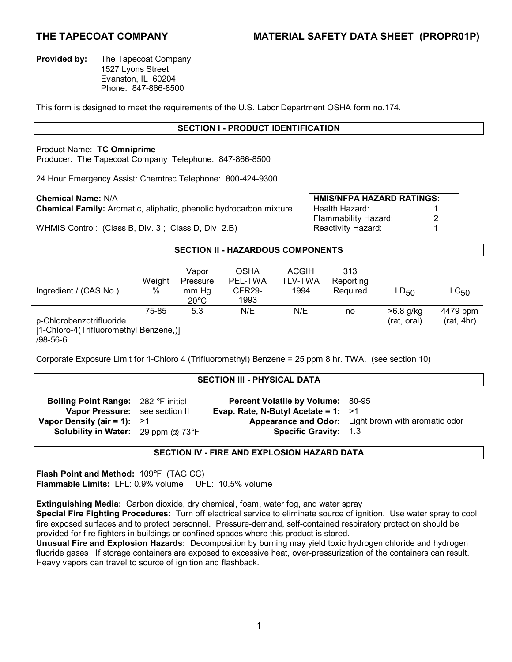**Provided by:** The Tapecoat Company 1527 Lyons Street Evanston, IL 60204 Phone: 847-866-8500

This form is designed to meet the requirements of the U.S. Labor Department OSHA form no.174.

# **SECTION I - PRODUCT IDENTIFICATION**

## Product Name: **TC Omniprime**

Producer: The Tapecoat Company Telephone: 847-866-8500

24 Hour Emergency Assist: Chemtrec Telephone: 800-424-9300

**Chemical Family:** Aromatic, aliphatic, phenolic hydrocarbon mixture Health Hazard: 1<br>2

**Chemical Name:** N/A **HMIS/NFPA HAZARD RATINGS:**  Flammability Hazard: 2

WHMIS Control: (Class B, Div. 3; Class D, Div. 2.B) Reactivity Hazard: 1

## **SECTION II - HAZARDOUS COMPONENTS**

| Ingredient / (CAS No.)                                | Weight<br>% | Vapor<br>Pressure<br>mm Hg<br>$20^{\circ}$ C | <b>OSHA</b><br>PEL-TWA<br>CFR <sub>29</sub> -<br>1993 | <b>ACGIH</b><br>TLV-TWA<br>1994 | 313<br>Reporting<br>Required | $LD_{50}$   | $LC_{50}$  |
|-------------------------------------------------------|-------------|----------------------------------------------|-------------------------------------------------------|---------------------------------|------------------------------|-------------|------------|
|                                                       | 75-85       | 5.3                                          | N/E                                                   | N/E                             | no                           | >6.8 g/kg   | 4479 ppm   |
| p-Chlorobenzotrifluoride                              |             |                                              |                                                       |                                 |                              | (rat, oral) | (rat, 4hr) |
| [1-Chloro-4(Trifluoromethyl Benzene,)]<br>$200 - 500$ |             |                                              |                                                       |                                 |                              |             |            |

/98-56-6

Corporate Exposure Limit for 1-Chloro 4 (Trifluoromethyl) Benzene = 25 ppm 8 hr. TWA. (see section 10)

#### **SECTION III - PHYSICAL DATA**

| <b>Boiling Point Range:</b> 282 °F initial                                                                   | <b>Percent Volatile by Volume: 80-95</b>                              |                                                     |
|--------------------------------------------------------------------------------------------------------------|-----------------------------------------------------------------------|-----------------------------------------------------|
| Vapor Pressure: see section II<br>Vapor Density (air = 1): $>1$<br><b>Solubility in Water:</b> 29 ppm @ 73°F | Evap. Rate, N-Butyl Acetate = $1: >1$<br><b>Specific Gravity: 1.3</b> | Appearance and Odor: Light brown with aromatic odor |

# **SECTION IV - FIRE AND EXPLOSION HAZARD DATA**

**Flash Point and Method:** 109°F (TAG CC) **Flammable Limits:** LFL: 0.9% volume UFL: 10.5% volume

**Extinguishing Media:** Carbon dioxide, dry chemical, foam, water fog, and water spray

**Special Fire Fighting Procedures:** Turn off electrical service to eliminate source of ignition. Use water spray to cool fire exposed surfaces and to protect personnel. Pressure-demand, self-contained respiratory protection should be provided for fire fighters in buildings or confined spaces where this product is stored.

**Unusual Fire and Explosion Hazards:** Decomposition by burning may yield toxic hydrogen chloride and hydrogen fluoride gases If storage containers are exposed to excessive heat, over-pressurization of the containers can result. Heavy vapors can travel to source of ignition and flashback.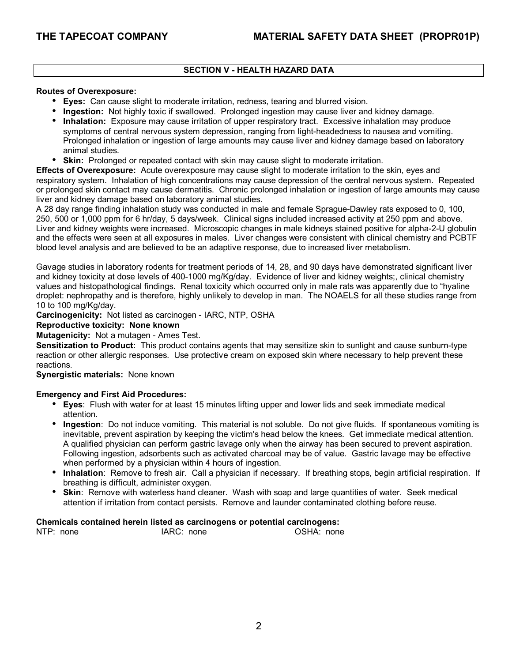# **SECTION V - HEALTH HAZARD DATA**

#### **Routes of Overexposure:**

- **Eyes:** Can cause slight to moderate irritation, redness, tearing and blurred vision.
- **Ingestion:** Not highly toxic if swallowed. Prolonged ingestion may cause liver and kidney damage.
- **Inhalation:** Exposure may cause irritation of upper respiratory tract. Excessive inhalation may produce symptoms of central nervous system depression, ranging from light-headedness to nausea and vomiting. Prolonged inhalation or ingestion of large amounts may cause liver and kidney damage based on laboratory animal studies.
- **Skin:** Prolonged or repeated contact with skin may cause slight to moderate irritation.

**Effects of Overexposure:** Acute overexposure may cause slight to moderate irritation to the skin, eyes and respiratory system. Inhalation of high concentrations may cause depression of the central nervous system. Repeated or prolonged skin contact may cause dermatitis. Chronic prolonged inhalation or ingestion of large amounts may cause liver and kidney damage based on laboratory animal studies.

A 28 day range finding inhalation study was conducted in male and female Sprague-Dawley rats exposed to 0, 100, 250, 500 or 1,000 ppm for 6 hr/day, 5 days/week. Clinical signs included increased activity at 250 ppm and above. Liver and kidney weights were increased. Microscopic changes in male kidneys stained positive for alpha-2-U globulin and the effects were seen at all exposures in males. Liver changes were consistent with clinical chemistry and PCBTF blood level analysis and are believed to be an adaptive response, due to increased liver metabolism.

Gavage studies in laboratory rodents for treatment periods of 14, 28, and 90 days have demonstrated significant liver and kidney toxicity at dose levels of 400-1000 mg/Kg/day. Evidence of liver and kidney weights;, clinical chemistry values and histopathological findings. Renal toxicity which occurred only in male rats was apparently due to "hyaline" droplet: nephropathy and is therefore, highly unlikely to develop in man. The NOAELS for all these studies range from 10 to 100 mg/Kg/day.

**Carcinogenicity:** Not listed as carcinogen - IARC, NTP, OSHA

## **Reproductive toxicity: None known**

## **Mutagenicity:** Not a mutagen - Ames Test.

**Sensitization to Product:** This product contains agents that may sensitize skin to sunlight and cause sunburn-type reaction or other allergic responses. Use protective cream on exposed skin where necessary to help prevent these reactions.

#### **Synergistic materials:** None known

## **Emergency and First Aid Procedures:**

- **Eyes**: Flush with water for at least 15 minutes lifting upper and lower lids and seek immediate medical attention.
- **Ingestion**: Do not induce vomiting. This material is not soluble. Do not give fluids. If spontaneous vomiting is inevitable, prevent aspiration by keeping the victim's head below the knees. Get immediate medical attention. A qualified physician can perform gastric lavage only when the airway has been secured to prevent aspiration. Following ingestion, adsorbents such as activated charcoal may be of value. Gastric lavage may be effective when performed by a physician within 4 hours of ingestion.
- **Inhalation**: Remove to fresh air. Call a physician if necessary. If breathing stops, begin artificial respiration. If breathing is difficult, administer oxygen.
- **Skin: Remove with waterless hand cleaner. Wash with soap and large quantities of water. Seek medical** attention if irritation from contact persists. Remove and launder contaminated clothing before reuse.

#### **Chemicals contained herein listed as carcinogens or potential carcinogens:**

| NTP: none<br>OSHA: none<br>IARC: none |  |
|---------------------------------------|--|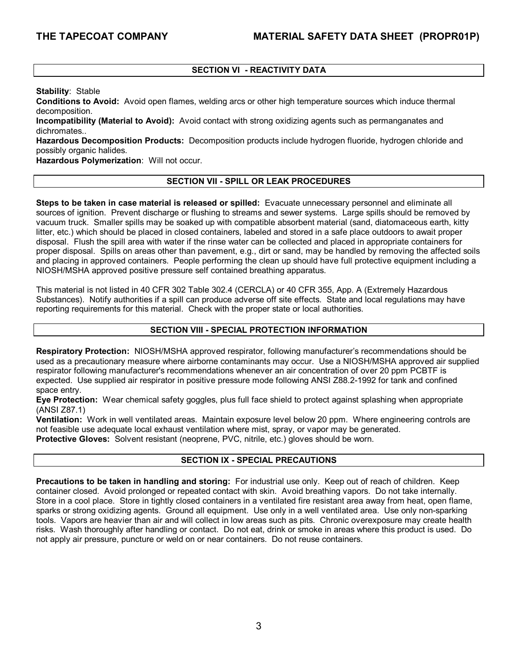# **SECTION VI - REACTIVITY DATA**

**Stability**: Stable

**Conditions to Avoid:** Avoid open flames, welding arcs or other high temperature sources which induce thermal decomposition.

**Incompatibility (Material to Avoid):** Avoid contact with strong oxidizing agents such as permanganates and dichromates.

**Hazardous Decomposition Products:** Decomposition products include hydrogen fluoride, hydrogen chloride and possibly organic halides.

**Hazardous Polymerization**: Will not occur.

# **SECTION VII - SPILL OR LEAK PROCEDURES**

**Steps to be taken in case material is released or spilled:** Evacuate unnecessary personnel and eliminate all sources of ignition. Prevent discharge or flushing to streams and sewer systems. Large spills should be removed by vacuum truck. Smaller spills may be soaked up with compatible absorbent material (sand, diatomaceous earth, kitty litter, etc.) which should be placed in closed containers, labeled and stored in a safe place outdoors to await proper disposal. Flush the spill area with water if the rinse water can be collected and placed in appropriate containers for proper disposal. Spills on areas other than pavement, e.g., dirt or sand, may be handled by removing the affected soils and placing in approved containers. People performing the clean up should have full protective equipment including a NIOSH/MSHA approved positive pressure self contained breathing apparatus.

This material is not listed in 40 CFR 302 Table 302.4 (CERCLA) or 40 CFR 355, App. A (Extremely Hazardous Substances). Notify authorities if a spill can produce adverse off site effects. State and local regulations may have reporting requirements for this material. Check with the proper state or local authorities.

## **SECTION VIII - SPECIAL PROTECTION INFORMATION**

**Respiratory Protection:** NIOSH/MSHA approved respirator, following manufacturer's recommendations should be used as a precautionary measure where airborne contaminants may occur. Use a NIOSH/MSHA approved air supplied respirator following manufacturer's recommendations whenever an air concentration of over 20 ppm PCBTF is expected. Use supplied air respirator in positive pressure mode following ANSI Z88.2-1992 for tank and confined space entry.

**Eye Protection:** Wear chemical safety goggles, plus full face shield to protect against splashing when appropriate (ANSI Z87.1)

**Ventilation:** Work in well ventilated areas. Maintain exposure level below 20 ppm. Where engineering controls are not feasible use adequate local exhaust ventilation where mist, spray, or vapor may be generated. **Protective Gloves:** Solvent resistant (neoprene, PVC, nitrile, etc.) gloves should be worn.

## **SECTION IX - SPECIAL PRECAUTIONS**

**Precautions to be taken in handling and storing:** For industrial use only. Keep out of reach of children. Keep container closed. Avoid prolonged or repeated contact with skin. Avoid breathing vapors. Do not take internally. Store in a cool place. Store in tightly closed containers in a ventilated fire resistant area away from heat, open flame, sparks or strong oxidizing agents. Ground all equipment. Use only in a well ventilated area. Use only non-sparking tools. Vapors are heavier than air and will collect in low areas such as pits. Chronic overexposure may create health risks. Wash thoroughly after handling or contact. Do not eat, drink or smoke in areas where this product is used. Do not apply air pressure, puncture or weld on or near containers. Do not reuse containers.